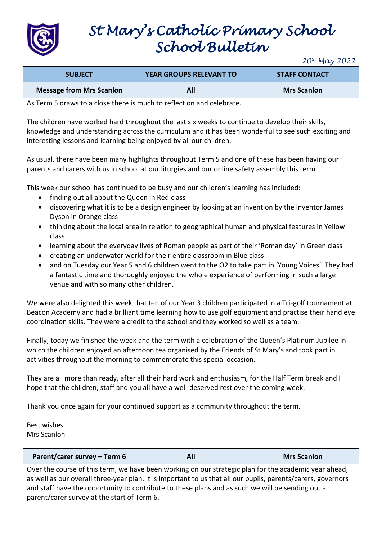

## *St Mary's Catholic Primary School School Bulletin*

*20th May 2022*

| <b>SUBJECT</b>                  | <b>YEAR GROUPS RELEVANT TO</b> | <b>STAFF CONTACT</b> |
|---------------------------------|--------------------------------|----------------------|
| <b>Message from Mrs Scanlon</b> | All                            | <b>Mrs Scanlon</b>   |

As Term 5 draws to a close there is much to reflect on and celebrate.

The children have worked hard throughout the last six weeks to continue to develop their skills, knowledge and understanding across the curriculum and it has been wonderful to see such exciting and interesting lessons and learning being enjoyed by all our children.

As usual, there have been many highlights throughout Term 5 and one of these has been having our parents and carers with us in school at our liturgies and our online safety assembly this term.

This week our school has continued to be busy and our children's learning has included:

- finding out all about the Queen in Red class
- discovering what it is to be a design engineer by looking at an invention by the inventor James Dyson in Orange class
- thinking about the local area in relation to geographical human and physical features in Yellow class
- learning about the everyday lives of Roman people as part of their 'Roman day' in Green class
- creating an underwater world for their entire classroom in Blue class
- and on Tuesday our Year 5 and 6 children went to the O2 to take part in 'Young Voices'. They had a fantastic time and thoroughly enjoyed the whole experience of performing in such a large venue and with so many other children.

We were also delighted this week that ten of our Year 3 children participated in a Tri-golf tournament at Beacon Academy and had a brilliant time learning how to use golf equipment and practise their hand eye coordination skills. They were a credit to the school and they worked so well as a team.

Finally, today we finished the week and the term with a celebration of the Queen's Platinum Jubilee in which the children enjoyed an afternoon tea organised by the Friends of St Mary's and took part in activities throughout the morning to commemorate this special occasion.

They are all more than ready, after all their hard work and enthusiasm, for the Half Term break and I hope that the children, staff and you all have a well-deserved rest over the coming week.

Thank you once again for your continued support as a community throughout the term.

Best wishes Mrs Scanlon

| Parent/carer survey – Term 6                                                                         |  | <b>Mrs Scanlon</b> |  |
|------------------------------------------------------------------------------------------------------|--|--------------------|--|
| Ouantha acupa af this tape, un have has propulsion an aug strategic plan far the academic your aboad |  |                    |  |

Over the course of this term, we have been working on our strategic plan for the academic year ahead, as well as our overall three-year plan. It is important to us that all our pupils, parents/carers, governors and staff have the opportunity to contribute to these plans and as such we will be sending out a parent/carer survey at the start of Term 6.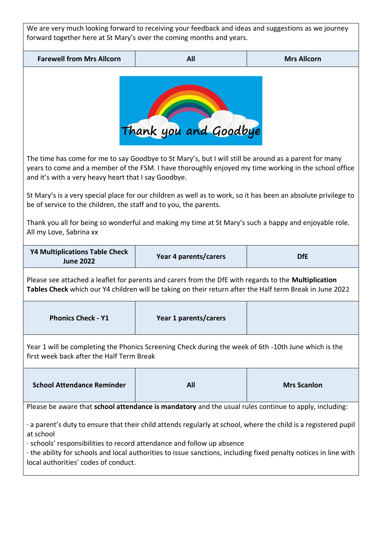| We are very much looking forward to receiving your feedback and ideas and suggestions as we journey<br>forward together here at St Mary's over the coming months and years.                                                                                                                                                                                                                                                                                                                                                                                                                       |                                                                                                                                                                                                                  |  |  |  |  |  |
|---------------------------------------------------------------------------------------------------------------------------------------------------------------------------------------------------------------------------------------------------------------------------------------------------------------------------------------------------------------------------------------------------------------------------------------------------------------------------------------------------------------------------------------------------------------------------------------------------|------------------------------------------------------------------------------------------------------------------------------------------------------------------------------------------------------------------|--|--|--|--|--|
| <b>Farewell from Mrs Allcorn</b>                                                                                                                                                                                                                                                                                                                                                                                                                                                                                                                                                                  | All                                                                                                                                                                                                              |  |  |  |  |  |
| <b>Mrs Allcorn</b><br>Thank you and Goodbye                                                                                                                                                                                                                                                                                                                                                                                                                                                                                                                                                       |                                                                                                                                                                                                                  |  |  |  |  |  |
| The time has come for me to say Goodbye to St Mary's, but I will still be around as a parent for many<br>years to come and a member of the FSM. I have thoroughly enjoyed my time working in the school office<br>and it's with a very heavy heart that I say Goodbye.<br>St Mary's is a very special place for our children as well as to work, so it has been an absolute privilege to<br>be of service to the children, the staff and to you, the parents.<br>Thank you all for being so wonderful and making my time at St Mary's such a happy and enjoyable role.<br>All my Love, Sabrina xx |                                                                                                                                                                                                                  |  |  |  |  |  |
| <b>Y4 Multiplications Table Check</b><br><b>June 2022</b>                                                                                                                                                                                                                                                                                                                                                                                                                                                                                                                                         | Year 4 parents/carers<br><b>DfE</b>                                                                                                                                                                              |  |  |  |  |  |
|                                                                                                                                                                                                                                                                                                                                                                                                                                                                                                                                                                                                   | Please see attached a leaflet for parents and carers from the DfE with regards to the Multiplication<br>Tables Check which our Y4 children will be taking on their return after the Half term Break in June 2022 |  |  |  |  |  |
| <b>Phonics Check - Y1</b>                                                                                                                                                                                                                                                                                                                                                                                                                                                                                                                                                                         | Year 1 parents/carers                                                                                                                                                                                            |  |  |  |  |  |
| Year 1 will be completing the Phonics Screening Check during the week of 6th -10th June which is the<br>first week back after the Half Term Break                                                                                                                                                                                                                                                                                                                                                                                                                                                 |                                                                                                                                                                                                                  |  |  |  |  |  |
| <b>School Attendance Reminder</b>                                                                                                                                                                                                                                                                                                                                                                                                                                                                                                                                                                 | <b>Mrs Scanlon</b><br><b>All</b>                                                                                                                                                                                 |  |  |  |  |  |
| Please be aware that school attendance is mandatory and the usual rules continue to apply, including:                                                                                                                                                                                                                                                                                                                                                                                                                                                                                             |                                                                                                                                                                                                                  |  |  |  |  |  |
| · a parent's duty to ensure that their child attends regularly at school, where the child is a registered pupil<br>at school<br>· schools' responsibilities to record attendance and follow up absence<br>the ability for schools and local authorities to issue sanctions, including fixed penalty notices in line with<br>local authorities' codes of conduct.                                                                                                                                                                                                                                  |                                                                                                                                                                                                                  |  |  |  |  |  |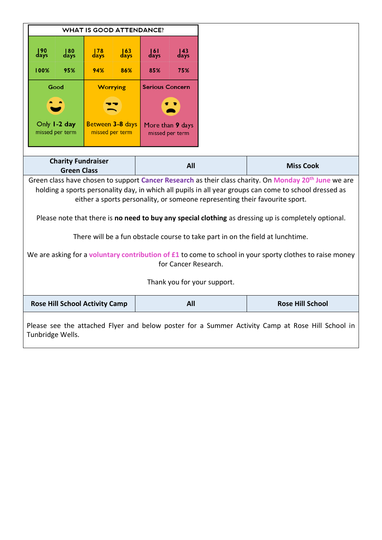| <b>WHAT IS GOOD ATTENDANCE?</b>                                                                                                                                                                                                                                                                            |                                                 |                           |                                     |                                     |                           |  |                  |
|------------------------------------------------------------------------------------------------------------------------------------------------------------------------------------------------------------------------------------------------------------------------------------------------------------|-------------------------------------------------|---------------------------|-------------------------------------|-------------------------------------|---------------------------|--|------------------|
| $\frac{190}{\text{days}}$                                                                                                                                                                                                                                                                                  | $\frac{180}{\text{days}}$                       | $\frac{178}{\text{days}}$ | $\frac{163}{\text{days}}$           | $\frac{161}{\text{days}}$           | $\frac{143}{\text{days}}$ |  |                  |
| 100%                                                                                                                                                                                                                                                                                                       | 95%                                             | 94%                       | 86%                                 | 85%                                 | 75%                       |  |                  |
|                                                                                                                                                                                                                                                                                                            | Good                                            | <b>Worrying</b>           |                                     | <b>Serious Concern</b>              |                           |  |                  |
|                                                                                                                                                                                                                                                                                                            |                                                 |                           |                                     |                                     |                           |  |                  |
|                                                                                                                                                                                                                                                                                                            | Only 1-2 day<br>missed per term                 |                           | Between 3-8 days<br>missed per term | More than 9 days<br>missed per term |                           |  |                  |
|                                                                                                                                                                                                                                                                                                            | <b>Charity Fundraiser</b><br><b>Green Class</b> |                           |                                     | All                                 |                           |  | <b>Miss Cook</b> |
| Green class have chosen to support Cancer Research as their class charity. On Monday 20 <sup>th</sup> June we are<br>holding a sports personality day, in which all pupils in all year groups can come to school dressed as<br>either a sports personality, or someone representing their favourite sport. |                                                 |                           |                                     |                                     |                           |  |                  |
| Please note that there is no need to buy any special clothing as dressing up is completely optional.<br>There will be a fun obstacle course to take part in on the field at lunchtime.                                                                                                                     |                                                 |                           |                                     |                                     |                           |  |                  |
| We are asking for a voluntary contribution of £1 to come to school in your sporty clothes to raise money<br>for Cancer Research.                                                                                                                                                                           |                                                 |                           |                                     |                                     |                           |  |                  |
| Thank you for your support.                                                                                                                                                                                                                                                                                |                                                 |                           |                                     |                                     |                           |  |                  |
|                                                                                                                                                                                                                                                                                                            | All<br><b>Rose Hill School Activity Camp</b>    |                           |                                     |                                     | <b>Rose Hill School</b>   |  |                  |
| Please see the attached Flyer and below poster for a Summer Activity Camp at Rose Hill School in<br>Tunbridge Wells.                                                                                                                                                                                       |                                                 |                           |                                     |                                     |                           |  |                  |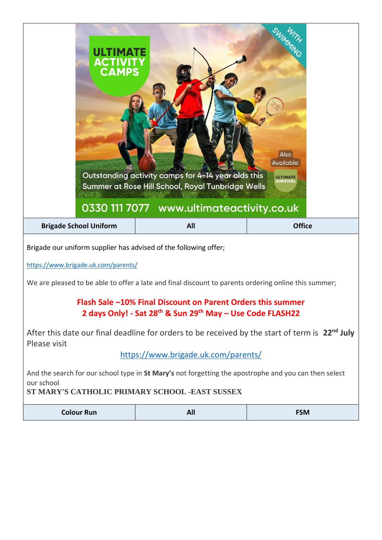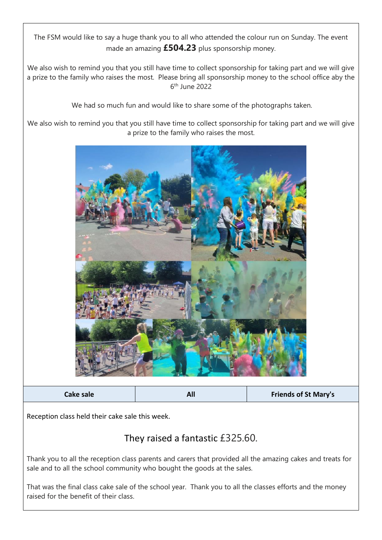The FSM would like to say a huge thank you to all who attended the colour run on Sunday. The event made an amazing **£504.23** plus sponsorship money.

We also wish to remind you that you still have time to collect sponsorship for taking part and we will give a prize to the family who raises the most. Please bring all sponsorship money to the school office aby the 6 th June 2022

We had so much fun and would like to share some of the photographs taken.

We also wish to remind you that you still have time to collect sponsorship for taking part and we will give a prize to the family who raises the most.



**Cake sale All Friends of St Mary's**

Reception class held their cake sale this week.

## They raised a fantastic £325.60.

Thank you to all the reception class parents and carers that provided all the amazing cakes and treats for sale and to all the school community who bought the goods at the sales.

That was the final class cake sale of the school year. Thank you to all the classes efforts and the money raised for the benefit of their class.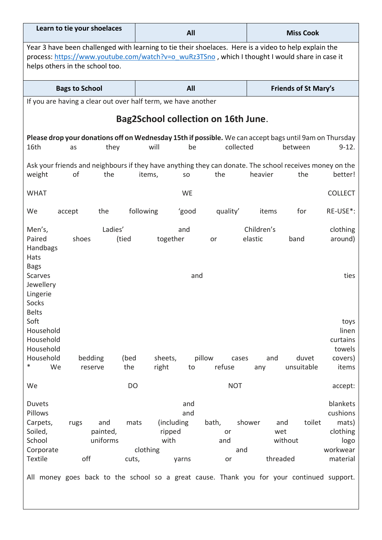| Learn to tie your shoelaces                                                                                                                                                                                                                |                                    |                | All                                       |                     |                                            |                       | <b>Miss Cook</b>                            |                                                                           |  |
|--------------------------------------------------------------------------------------------------------------------------------------------------------------------------------------------------------------------------------------------|------------------------------------|----------------|-------------------------------------------|---------------------|--------------------------------------------|-----------------------|---------------------------------------------|---------------------------------------------------------------------------|--|
| Year 3 have been challenged with learning to tie their shoelaces. Here is a video to help explain the<br>process: https://www.youtube.com/watch?v=o_wuRz3TSno, which I thought I would share in case it<br>helps others in the school too. |                                    |                |                                           |                     |                                            |                       |                                             |                                                                           |  |
|                                                                                                                                                                                                                                            | <b>Bags to School</b>              |                |                                           | All                 |                                            |                       | <b>Friends of St Mary's</b>                 |                                                                           |  |
| If you are having a clear out over half term, we have another                                                                                                                                                                              |                                    |                |                                           |                     |                                            |                       |                                             |                                                                           |  |
|                                                                                                                                                                                                                                            |                                    |                |                                           |                     | <b>Bag2School collection on 16th June.</b> |                       |                                             |                                                                           |  |
| Please drop your donations off on Wednesday 15th if possible. We can accept bags until 9am on Thursday<br>16th<br>as                                                                                                                       | they                               |                | will                                      | be                  | collected                                  |                       | between                                     | $9-12.$                                                                   |  |
| Ask your friends and neighbours if they have anything they can donate. The school receives money on the<br>weight                                                                                                                          | of<br>the                          |                | items,                                    | SO                  | the                                        | heavier               | the                                         | better!                                                                   |  |
| <b>WHAT</b>                                                                                                                                                                                                                                |                                    |                |                                           | <b>WE</b>           |                                            |                       |                                             | <b>COLLECT</b>                                                            |  |
| We<br>accept                                                                                                                                                                                                                               | the                                |                | following                                 | 'good               | quality'                                   | items                 | for                                         | RE-USE*:                                                                  |  |
| Men's,<br>Paired<br>Handbags<br>Hats                                                                                                                                                                                                       | Ladies'<br>shoes                   | (tied          | together                                  | and                 | or                                         | Children's<br>elastic | band                                        | clothing<br>around)                                                       |  |
| <b>Bags</b><br><b>Scarves</b><br>Jewellery<br>Lingerie<br>Socks<br><b>Belts</b>                                                                                                                                                            |                                    |                |                                           | and                 |                                            |                       |                                             | ties                                                                      |  |
| Soft<br>Household<br>Household<br>Household<br>Household                                                                                                                                                                                   | bedding                            | (bed           | sheets,                                   |                     | pillow<br>cases                            | and                   | duvet                                       | toys<br>linen<br>curtains<br>towels<br>covers)                            |  |
| $\ast$<br>We                                                                                                                                                                                                                               | reserve                            | the            | right                                     | to                  | refuse                                     | any                   | unsuitable                                  | items                                                                     |  |
| We                                                                                                                                                                                                                                         |                                    | D <sub>O</sub> |                                           |                     | <b>NOT</b>                                 |                       |                                             | accept:                                                                   |  |
| Duvets<br>Pillows<br>Carpets,<br>rugs<br>Soiled,<br>School<br>Corporate<br><b>Textile</b><br>All money goes back to the school so a great cause. Thank you for your continued support.                                                     | and<br>painted,<br>uniforms<br>off | mats<br>cuts,  | (including)<br>ripped<br>with<br>clothing | and<br>and<br>yarns | bath,<br>or<br>and<br>or                   | shower<br>and         | toilet<br>and<br>wet<br>without<br>threaded | blankets<br>cushions<br>mats)<br>clothing<br>logo<br>workwear<br>material |  |
|                                                                                                                                                                                                                                            |                                    |                |                                           |                     |                                            |                       |                                             |                                                                           |  |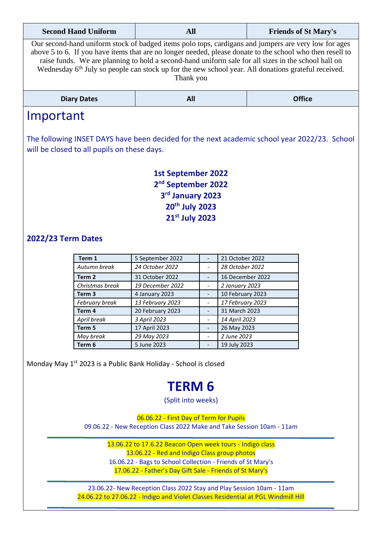| <b>Second Hand Uniform</b>                                                                                                                                                                                                                                                                                                                                                                                                                               | <b>All</b><br><b>Friends of St Mary's</b> |  |  |  |  |  |
|----------------------------------------------------------------------------------------------------------------------------------------------------------------------------------------------------------------------------------------------------------------------------------------------------------------------------------------------------------------------------------------------------------------------------------------------------------|-------------------------------------------|--|--|--|--|--|
| Our second-hand uniform stock of badged items polo tops, cardigans and jumpers are very low for ages<br>above 5 to 6. If you have items that are no longer needed, please donate to the school who then resell to<br>raise funds. We are planning to hold a second-hand uniform sale for all sizes in the school hall on<br>Wednesday 6 <sup>th</sup> July so people can stock up for the new school year. All donations grateful received.<br>Thank you |                                           |  |  |  |  |  |
| <b>Diary Dates</b>                                                                                                                                                                                                                                                                                                                                                                                                                                       | <b>Office</b><br>All                      |  |  |  |  |  |
| Important                                                                                                                                                                                                                                                                                                                                                                                                                                                |                                           |  |  |  |  |  |
| The following INSET DAYS have been decided for the next academic school year 2022/23. School<br>will be closed to all pupils on these days.                                                                                                                                                                                                                                                                                                              |                                           |  |  |  |  |  |

**1st September 2022 nd September 2022 rd January 2023 th July 2023 st July 2023**

## **2022/23 Term Dates**

| Term 1            | 5 September 2022 | 21 October 2022  |
|-------------------|------------------|------------------|
| Autumn break      | 24 October 2022  | 28 October 2022  |
| Term 2            | 31 October 2022  | 16 December 2022 |
| Christmas break   | 19 December 2022 | 2 January 2023   |
| Term <sub>3</sub> | 4 January 2023   | 10 February 2023 |
| February break    | 13 February 2023 | 17 February 2023 |
| Term 4            | 20 February 2023 | 31 March 2023    |
| April break       | 3 April 2023     | 14 April 2023    |
| Term 5            | 17 April 2023    | 26 May 2023      |
| May break         | 29 May 2023      | 2 June 2023      |
| Term 6            | 5 June 2023      | 19 July 2023     |

Monday May 1st 2023 is a Public Bank Holiday - School is closed

## **TERM 6**

(Split into weeks)

06.06.22 - First Day of Term for Pupils 09.06.22 - New Reception Class 2022 Make and Take Session 10am - 11am

> 13.06.22 to 17.6.22 Beacon Open week tours - Indigo class 13.06.22 - Red and Indigo Class group photos 16.06.22 - Bags to School Collection - Friends of St Mary's 17.06.22 - Father's Day Gift Sale - Friends of St Mary's

23.06.22- New Reception Class 2022 Stay and Play Session 10am - 11am 24.06.22 to 27.06.22 - Indigo and Violet Classes Residential at PGL Windmill Hill